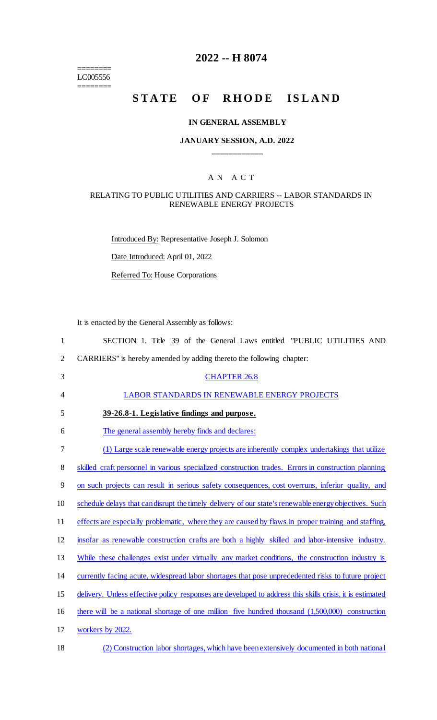======== LC005556 ========

## **2022 -- H 8074**

# **STATE OF RHODE ISLAND**

#### **IN GENERAL ASSEMBLY**

### **JANUARY SESSION, A.D. 2022 \_\_\_\_\_\_\_\_\_\_\_\_**

#### A N A C T

#### RELATING TO PUBLIC UTILITIES AND CARRIERS -- LABOR STANDARDS IN RENEWABLE ENERGY PROJECTS

Introduced By: Representative Joseph J. Solomon

Date Introduced: April 01, 2022

Referred To: House Corporations

It is enacted by the General Assembly as follows:

| $\mathbf{1}$   | SECTION 1. Title 39 of the General Laws entitled "PUBLIC UTILITIES AND                                   |
|----------------|----------------------------------------------------------------------------------------------------------|
| $\overline{2}$ | CARRIERS" is hereby amended by adding thereto the following chapter:                                     |
| 3              | <b>CHAPTER 26.8</b>                                                                                      |
| 4              | <b>LABOR STANDARDS IN RENEWABLE ENERGY PROJECTS</b>                                                      |
| 5              | 39-26.8-1. Legislative findings and purpose.                                                             |
| 6              | The general assembly hereby finds and declares:                                                          |
| 7              | (1) Large scale renewable energy projects are inherently complex undertakings that utilize               |
| $8\,$          | skilled craft personnel in various specialized construction trades. Errors in construction planning      |
| 9              | on such projects can result in serious safety consequences, cost overruns, inferior quality, and         |
| 10             | schedule delays that can disrupt the timely delivery of our state's renewable energy objectives. Such    |
| 11             | effects are especially problematic, where they are caused by flaws in proper training and staffing,      |
| 12             | insofar as renewable construction crafts are both a highly skilled and labor-intensive industry.         |
| 13             | While these challenges exist under virtually any market conditions, the construction industry is         |
| 14             | currently facing acute, widespread labor shortages that pose unprecedented risks to future project       |
| 15             | delivery. Unless effective policy responses are developed to address this skills crisis, it is estimated |
| 16             | there will be a national shortage of one million five hundred thousand (1,500,000) construction          |
| 17             | workers by 2022.                                                                                         |
| 18             | (2) Construction labor shortages, which have been extensively documented in both national                |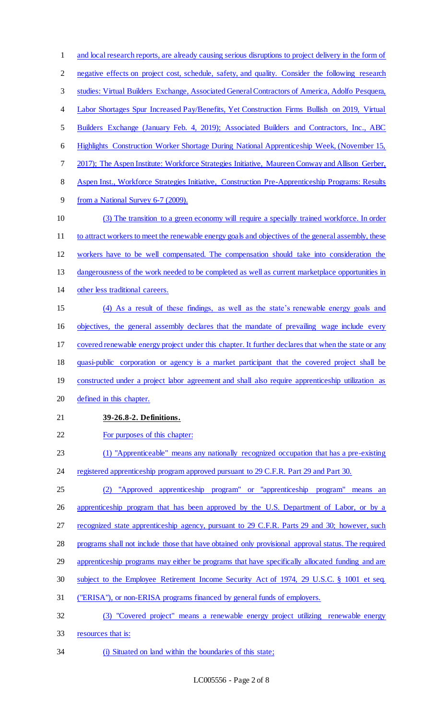and local research reports, are already causing serious disruptions to project delivery in the form of negative effects on project cost, schedule, safety, and quality. Consider the following research studies: Virtual Builders Exchange, Associated General Contractors of America, Adolfo Pesquera, Labor Shortages Spur Increased Pay/Benefits, Yet Construction Firms Bullish on 2019, Virtual Builders Exchange (January Feb. 4, 2019); Associated Builders and Contractors, Inc., ABC Highlights Construction Worker Shortage During National Apprenticeship Week, (November 15, 2017); The Aspen Institute: Workforce Strategies Initiative, Maureen Conway and Allison Gerber, Aspen Inst., Workforce Strategies Initiative, Construction Pre-Apprenticeship Programs: Results from a National Survey 6-7 (2009). (3) The transition to a green economy will require a specially trained workforce. In order to attract workers to meet the renewable energy goals and objectives of the general assembly, these workers have to be well compensated. The compensation should take into consideration the 13 dangerousness of the work needed to be completed as well as current marketplace opportunities in other less traditional careers. (4) As a result of these findings, as well as the state's renewable energy goals and objectives, the general assembly declares that the mandate of prevailing wage include every covered renewable energy project under this chapter. It further declares that when the state or any quasi-public corporation or agency is a market participant that the covered project shall be constructed under a project labor agreement and shall also require apprenticeship utilization as defined in this chapter. **39-26.8-2. Definitions.** For purposes of this chapter: (1) "Apprenticeable" means any nationally recognized occupation that has a pre-existing 24 registered apprenticeship program approved pursuant to 29 C.F.R. Part 29 and Part 30. (2) "Approved apprenticeship program" or "apprenticeship program" means an 26 apprenticeship program that has been approved by the U.S. Department of Labor, or by a 27 recognized state apprenticeship agency, pursuant to 29 C.F.R. Parts 29 and 30; however, such programs shall not include those that have obtained only provisional approval status. The required 29 apprenticeship programs may either be programs that have specifically allocated funding and are subject to the Employee Retirement Income Security Act of 1974, 29 U.S.C. § 1001 et seq. ("ERISA"), or non-ERISA programs financed by general funds of employers. (3) "Covered project" means a renewable energy project utilizing renewable energy resources that is: (i) Situated on land within the boundaries of this state;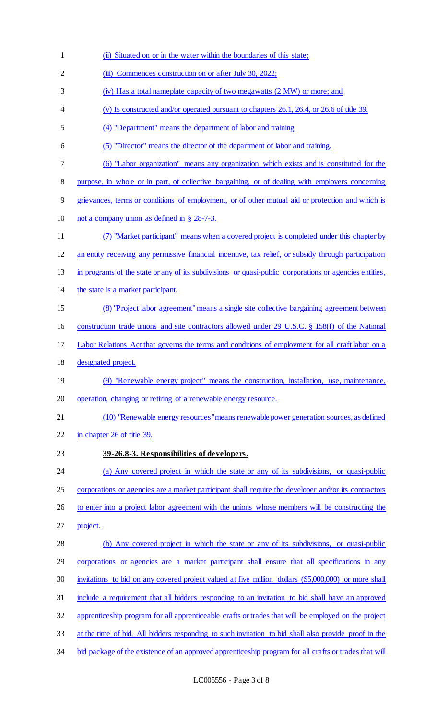(ii) Situated on or in the water within the boundaries of this state; 2 (iii) Commences construction on or after July 30, 2022; (iv) Has a total nameplate capacity of two megawatts (2 MW) or more; and (v) Is constructed and/or operated pursuant to chapters 26.1, 26.4, or 26.6 of title 39. (4) "Department" means the department of labor and training. (5) "Director" means the director of the department of labor and training. (6) "Labor organization" means any organization which exists and is constituted for the purpose, in whole or in part, of collective bargaining, or of dealing with employers concerning grievances, terms or conditions of employment, or of other mutual aid or protection and which is not a company union as defined in § 28-7-3. (7) "Market participant" means when a covered project is completed under this chapter by an entity receiving any permissive financial incentive, tax relief, or subsidy through participation in programs of the state or any of its subdivisions or quasi-public corporations or agencies entities, the state is a market participant. (8) "Project labor agreement"means a single site collective bargaining agreement between construction trade unions and site contractors allowed under 29 U.S.C. § 158(f) of the National Labor Relations Act that governs the terms and conditions of employment for all craft labor on a designated project. (9) "Renewable energy project" means the construction, installation, use, maintenance, operation, changing or retiring of a renewable energy resource. (10) "Renewable energy resources"means renewable power generation sources, as defined 22 in chapter 26 of title 39. **39-26.8-3. Responsibilities of developers.** (a) Any covered project in which the state or any of its subdivisions, or quasi-public 25 corporations or agencies are a market participant shall require the developer and/or its contractors 26 to enter into a project labor agreement with the unions whose members will be constructing the project. (b) Any covered project in which the state or any of its subdivisions, or quasi-public corporations or agencies are a market participant shall ensure that all specifications in any invitations to bid on any covered project valued at five million dollars (\$5,000,000) or more shall include a requirement that all bidders responding to an invitation to bid shall have an approved apprenticeship program for all apprenticeable crafts or trades that will be employed on the project at the time of bid. All bidders responding to such invitation to bid shall also provide proof in the 34 bid package of the existence of an approved apprenticeship program for all crafts or trades that will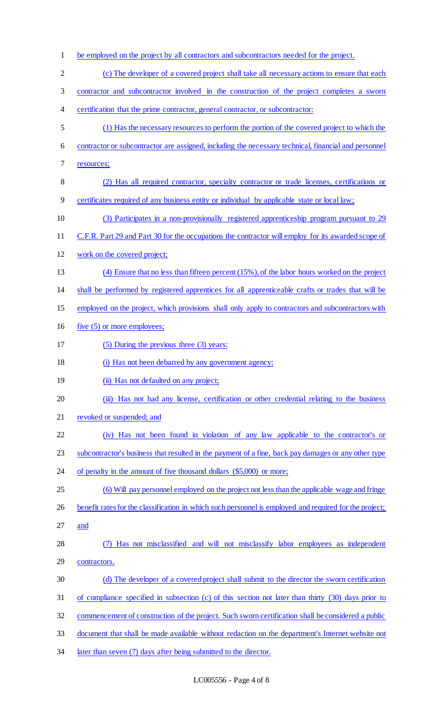- be employed on the project by all contractors and subcontractors needed for the project.
- (c) The developer of a covered project shall take all necessary actions to ensure that each contractor and subcontractor involved in the construction of the project completes a sworn 4 certification that the prime contractor, general contractor, or subcontractor: (1) Has the necessary resources to perform the portion of the covered project to which the contractor or subcontractor are assigned, including the necessary technical, financial and personnel resources; (2) Has all required contractor, specialty contractor or trade licenses, certifications or certificates required of any business entity or individual by applicable state or local law; (3) Participates in a non-provisionally registered apprenticeship program pursuant to 29 C.F.R. Part 29 and Part 30 for the occupations the contractor will employ for its awarded scope of work on the covered project; (4) Ensure that no less than fifteen percent (15%), of the labor hours worked on the project shall be performed by registered apprentices for all apprenticeable crafts or trades that will be 15 employed on the project, which provisions shall only apply to contractors and subcontractors with five (5) or more employees; (5) During the previous three (3) years: (i) Has not been debarred by any government agency; **(ii)** Has not defaulted on any project; 20 (iii) Has not had any license, certification or other credential relating to the business revoked or suspended; and (iv) Has not been found in violation of any law applicable to the contractor's or subcontractor's business that resulted in the payment of a fine, back pay damages or any other type 24 of penalty in the amount of five thousand dollars (\$5,000) or more; (6) Will pay personnel employed on the project not less than the applicable wage and fringe 26 benefit rates for the classification in which such personnel is employed and required for the project; and (7) Has not misclassified and will not misclassify labor employees as independent contractors. (d) The developer of a covered project shall submit to the director the sworn certification of compliance specified in subsection (c) of this section not later than thirty (30) days prior to commencement of construction of the project. Such sworn certification shall be considered a public document that shall be made available without redaction on the department's Internet website not
- 34 later than seven (7) days after being submitted to the director.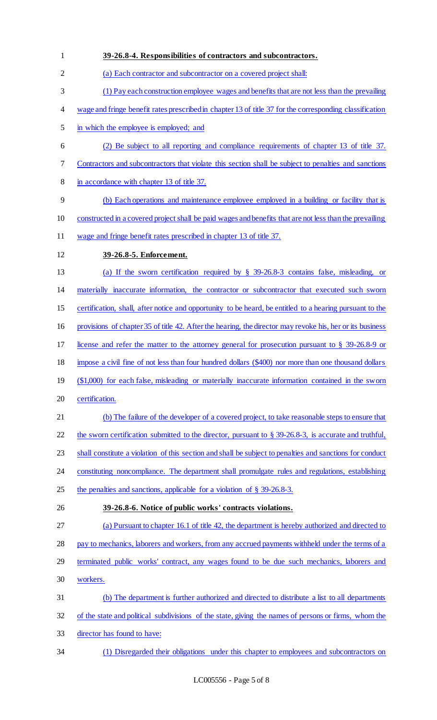**39-26.8-4. Responsibilities of contractors and subcontractors.**  (a) Each contractor and subcontractor on a covered project shall: (1) Pay each construction employee wages and benefits that are not less than the prevailing wage and fringe benefit rates prescribed in chapter 13 of title 37 for the corresponding classification in which the employee is employed; and (2) Be subject to all reporting and compliance requirements of chapter 13 of title 37. Contractors and subcontractors that violate this section shall be subject to penalties and sanctions 8 in accordance with chapter 13 of title 37. (b) Each operations and maintenance employee employed in a building or facility that is constructed in a covered project shall be paid wages and benefits that are not less than the prevailing wage and fringe benefit rates prescribed in chapter 13 of title 37. **39-26.8-5. Enforcement.**  (a) If the sworn certification required by § 39-26.8-3 contains false, misleading, or materially inaccurate information, the contractor or subcontractor that executed such sworn certification, shall, after notice and opportunity to be heard, be entitled to a hearing pursuant to the provisions of chapter 35 of title 42. After the hearing, the director may revoke his, her or its business license and refer the matter to the attorney general for prosecution pursuant to § 39-26.8-9 or impose a civil fine of not less than four hundred dollars (\$400) nor more than one thousand dollars (\$1,000) for each false, misleading or materially inaccurate information contained in the sworn certification. (b) The failure of the developer of a covered project, to take reasonable steps to ensure that 22 the sworn certification submitted to the director, pursuant to § 39-26.8-3, is accurate and truthful, shall constitute a violation of this section and shall be subject to penalties and sanctions for conduct constituting noncompliance. The department shall promulgate rules and regulations, establishing 25 the penalties and sanctions, applicable for a violation of § 39-26.8-3. **39-26.8-6. Notice of public works' contracts violations.**  (a) Pursuant to chapter 16.1 of title 42, the department is hereby authorized and directed to 28 pay to mechanics, laborers and workers, from any accrued payments withheld under the terms of a terminated public works' contract, any wages found to be due such mechanics, laborers and workers. (b) The department is further authorized and directed to distribute a list to all departments of the state and political subdivisions of the state, giving the names of persons or firms, whom the director has found to have: (1) Disregarded their obligations under this chapter to employees and subcontractors on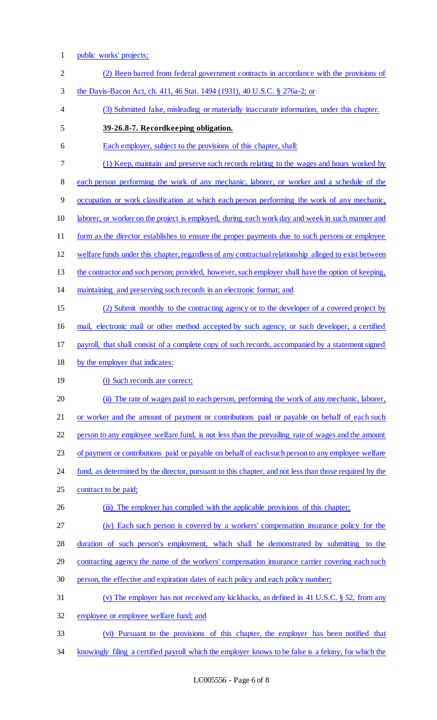1 public works' projects;

| $\overline{2}$ | (2) Been barred from federal government contracts in accordance with the provisions of                 |
|----------------|--------------------------------------------------------------------------------------------------------|
| 3              | the Davis-Bacon Act, ch. 411, 46 Stat. 1494 (1931), 40 U.S.C. § 276a-2; or                             |
| 4              | (3) Submitted false, misleading or materially inaccurate information, under this chapter.              |
| 5              | 39-26.8-7. Recordkeeping obligation.                                                                   |
| 6              | Each employer, subject to the provisions of this chapter, shall:                                       |
| 7              | (1) Keep, maintain and preserve such records relating to the wages and hours worked by                 |
| $\,8\,$        | each person performing the work of any mechanic, laborer, or worker and a schedule of the              |
| 9              | occupation or work classification at which each person performing the work of any mechanic,            |
| 10             | laborer, or worker on the project is employed, during each work day and week in such manner and        |
| 11             | form as the director establishes to ensure the proper payments due to such persons or employee         |
| 12             | welfare funds under this chapter, regardless of any contractual relationship alleged to exist between  |
| 13             | the contractor and such person; provided, however, such employer shall have the option of keeping,     |
| 14             | maintaining and preserving such records in an electronic format; and                                   |
| 15             | (2) Submit monthly to the contracting agency or to the developer of a covered project by               |
| 16             | mail, electronic mail or other method accepted by such agency, or such developer, a certified          |
| 17             | payroll, that shall consist of a complete copy of such records, accompanied by a statement signed      |
| 18             | by the employer that indicates:                                                                        |
| 19             | (i) Such records are correct;                                                                          |
| 20             | (ii) The rate of wages paid to each person, performing the work of any mechanic, laborer,              |
| 21             | or worker and the amount of payment or contributions paid or payable on behalf of each such            |
| 22             | person to any employee welfare fund, is not less than the prevailing rate of wages and the amount      |
| 23             | of payment or contributions paid or payable on behalf of each such person to any employee welfare      |
| 24             | fund, as determined by the director, pursuant to this chapter, and not less than those required by the |
| 25             | contract to be paid;                                                                                   |
| 26             | (iii) The employer has complied with the applicable provisions of this chapter;                        |
| 27             | (iv) Each such person is covered by a workers' compensation insurance policy for the                   |
| 28             | duration of such person's employment, which shall be demonstrated by submitting to the                 |
| 29             | contracting agency the name of the workers' compensation insurance carrier covering each such          |
| 30             | person, the effective and expiration dates of each policy and each policy number;                      |
| 31             | (v) The employer has not received any kickbacks, as defined in 41 U.S.C. $\S$ 52, from any             |
| 32             | employee or employee welfare fund; and                                                                 |
| 33             | (vi) Pursuant to the provisions of this chapter, the employer has been notified that                   |
| 34             | knowingly filing a certified payroll which the employer knows to be false is a felony, for which the   |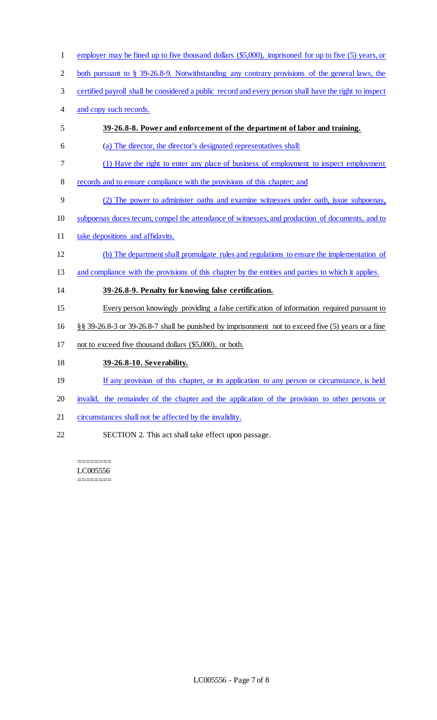employer may be fined up to five thousand dollars (\$5,000), imprisoned for up to five (5) years, or

both pursuant to § 39-26.8-9. Notwithstanding any contrary provisions of the general laws, the

- certified payroll shall be considered a public record and every person shall have the right to inspect
- and copy such records.
- **39-26.8-8. Power and enforcement of the department of labor and training.**
- (a) The director, the director's designated representatives shall:
- (1) Have the right to enter any place of business of employment to inspect employment
- records and to ensure compliance with the provisions of this chapter; and
- (2) The power to administer oaths and examine witnesses under oath, issue subpoenas,
- subpoenas duces tecum, compel the attendance of witnesses, and production of documents, and to
- 11 take depositions and affidavits.
- (b) The department shall promulgate rules and regulations to ensure the implementation of
- and compliance with the provisions of this chapter by the entities and parties to which it applies.

**39-26.8-9. Penalty for knowing false certification.** 

- Every person knowingly providing a false certification of information required pursuant to
- §§ 39-26.8-3 or 39-26.8-7 shall be punished by imprisonment not to exceed five (5) years or a fine
- not to exceed five thousand dollars (\$5,000), or both.
- **39-26.8-10. Severability.**
- 19 If any provision of this chapter, or its application to any person or circumstance, is held
- 20 invalid, the remainder of the chapter and the application of the provision to other persons or
- circumstances shall not be affected by the invalidity.
- SECTION 2. This act shall take effect upon passage.

======== LC005556 ========